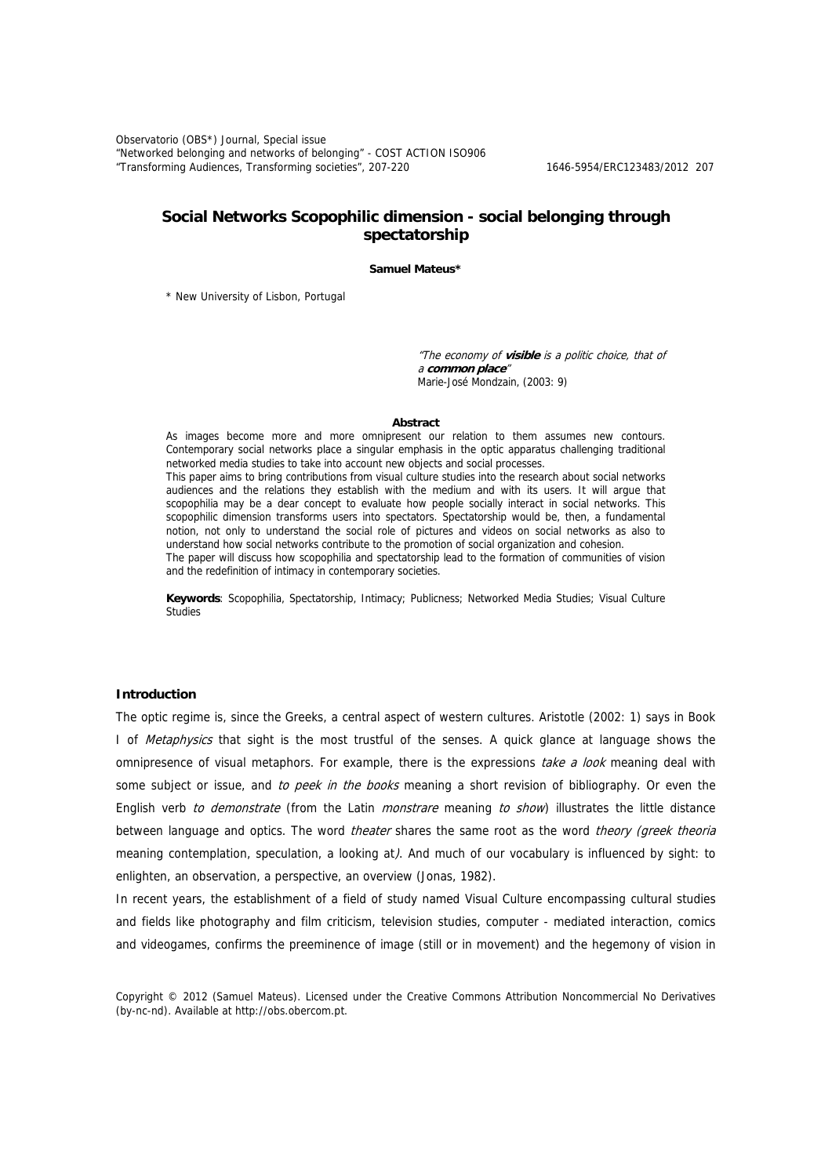Observatorio (OBS\*) Journal, Special issue "Networked belonging and networks of belonging" - COST ACTION ISO906 "Transforming Audiences, Transforming societies", 207-220 1646-5954/ERC123483/2012 207

# **Social Networks Scopophilic dimension - social belonging through spectatorship**

**Samuel Mateus\*** 

\* New University of Lisbon, Portugal

"The economy of **visible** is a politic choice, that of <sup>a</sup>**common place**" Marie-José Mondzain, (2003: 9)

### **Abstract**

As images become more and more omnipresent our relation to them assumes new contours. Contemporary social networks place a singular emphasis in the optic apparatus challenging traditional networked media studies to take into account new objects and social processes. This paper aims to bring contributions from visual culture studies into the research about social networks audiences and the relations they establish with the medium and with its users. It will argue that scopophilia may be a dear concept to evaluate how people socially interact in social networks. This scopophilic dimension transforms users into spectators. Spectatorship would be, then, a fundamental notion, not only to understand the social role of pictures and videos on social networks as also to understand how social networks contribute to the promotion of social organization and cohesion. The paper will discuss how scopophilia and spectatorship lead to the formation of communities of vision and the redefinition of intimacy in contemporary societies.

**Keywords**: Scopophilia, Spectatorship, Intimacy; Publicness; Networked Media Studies; Visual Culture Studies

# **Introduction**

The optic regime is, since the Greeks, a central aspect of western cultures. Aristotle (2002: 1) says in Book I of Metaphysics that sight is the most trustful of the senses. A quick glance at language shows the omnipresence of visual metaphors. For example, there is the expressions take a look meaning deal with some subject or issue, and to peek in the books meaning a short revision of bibliography. Or even the English verb to demonstrate (from the Latin monstrare meaning to show) illustrates the little distance between language and optics. The word theater shares the same root as the word theory (greek theoria meaning contemplation, speculation, a looking at). And much of our vocabulary is influenced by sight: to enlighten, an observation, a perspective, an overview (Jonas, 1982).

In recent years, the establishment of a field of study named Visual Culture encompassing cultural studies and fields like photography and film criticism, television studies, computer - mediated interaction, comics and videogames, confirms the preeminence of image (still or in movement) and the hegemony of vision in

Copyright © 2012 (Samuel Mateus). Licensed under the Creative Commons Attribution Noncommercial No Derivatives (by-nc-nd). Available at http://obs.obercom.pt.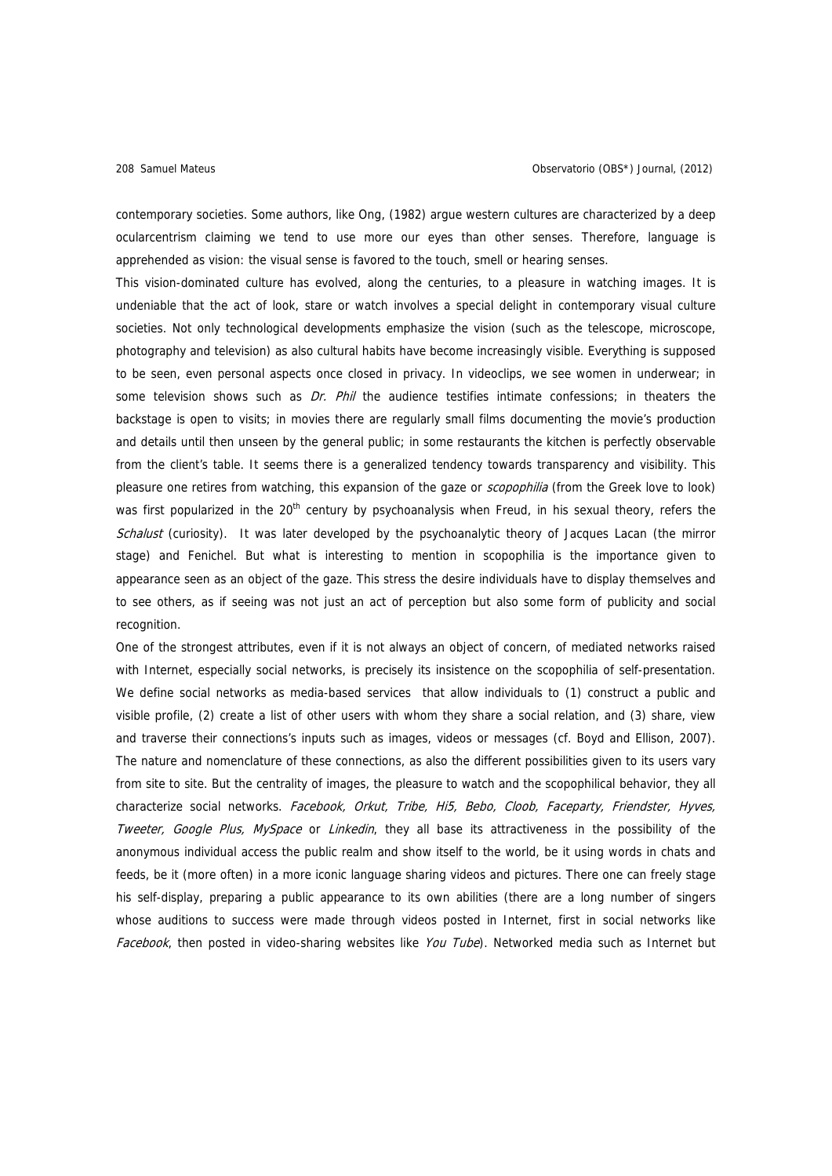contemporary societies. Some authors, like Ong, (1982) argue western cultures are characterized by a deep ocularcentrism claiming we tend to use more our eyes than other senses. Therefore, language is apprehended as vision: the visual sense is favored to the touch, smell or hearing senses.

This vision-dominated culture has evolved, along the centuries, to a pleasure in watching images. It is undeniable that the act of look, stare or watch involves a special delight in contemporary visual culture societies. Not only technological developments emphasize the vision (such as the telescope, microscope, photography and television) as also cultural habits have become increasingly visible. Everything is supposed to be seen, even personal aspects once closed in privacy. In videoclips, we see women in underwear; in some television shows such as Dr. Phil the audience testifies intimate confessions; in theaters the backstage is open to visits; in movies there are regularly small films documenting the movie's production and details until then unseen by the general public; in some restaurants the kitchen is perfectly observable from the client's table. It seems there is a generalized tendency towards transparency and visibility. This pleasure one retires from watching, this expansion of the gaze or *scopophilia* (from the Greek love to look) was first popularized in the 20<sup>th</sup> century by psychoanalysis when Freud, in his sexual theory, refers the Schalust (curiosity). It was later developed by the psychoanalytic theory of Jacques Lacan (the mirror stage) and Fenichel. But what is interesting to mention in scopophilia is the importance given to appearance seen as an object of the gaze. This stress the desire individuals have to display themselves and to see others, as if seeing was not just an act of perception but also some form of publicity and social recognition.

One of the strongest attributes, even if it is not always an object of concern, of mediated networks raised with Internet, especially social networks, is precisely its insistence on the scopophilia of self-presentation. We define social networks as media-based services that allow individuals to (1) construct a public and visible profile, (2) create a list of other users with whom they share a social relation, and (3) share, view and traverse their connections's inputs such as images, videos or messages (cf. Boyd and Ellison, 2007). The nature and nomenclature of these connections, as also the different possibilities given to its users vary from site to site. But the centrality of images, the pleasure to watch and the scopophilical behavior, they all characterize social networks. Facebook, Orkut, Tribe, Hi5, Bebo, Cloob, Faceparty, Friendster, Hyves, Tweeter, Google Plus, MySpace or Linkedin, they all base its attractiveness in the possibility of the anonymous individual access the public realm and show itself to the world, be it using words in chats and feeds, be it (more often) in a more iconic language sharing videos and pictures. There one can freely stage his self-display, preparing a public appearance to its own abilities (there are a long number of singers whose auditions to success were made through videos posted in Internet, first in social networks like Facebook, then posted in video-sharing websites like You Tube). Networked media such as Internet but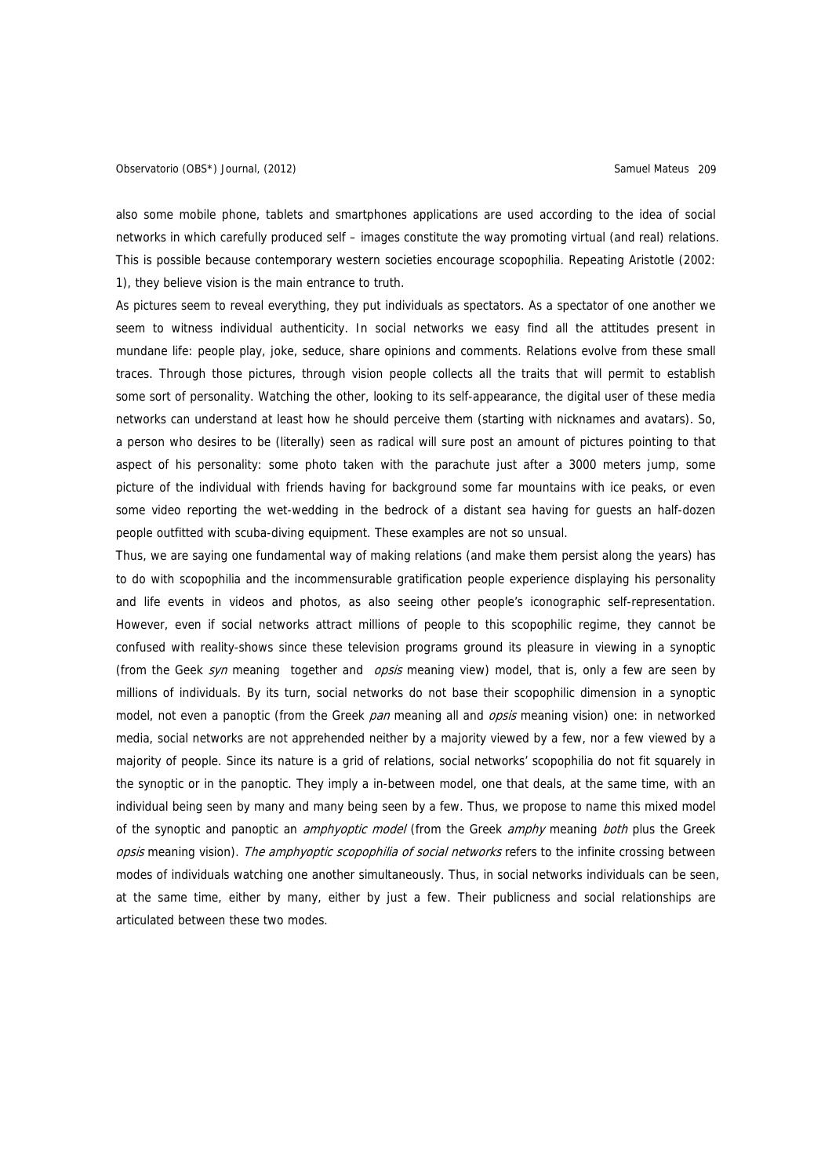also some mobile phone, tablets and smartphones applications are used according to the idea of social networks in which carefully produced self – images constitute the way promoting virtual (and real) relations. This is possible because contemporary western societies encourage scopophilia. Repeating Aristotle (2002: 1), they believe vision is the main entrance to truth.

As pictures seem to reveal everything, they put individuals as spectators. As a spectator of one another we seem to witness individual authenticity. In social networks we easy find all the attitudes present in mundane life: people play, joke, seduce, share opinions and comments. Relations evolve from these small traces. Through those pictures, through vision people collects all the traits that will permit to establish some sort of personality. Watching the other, looking to its self-appearance, the digital user of these media networks can understand at least how he should perceive them (starting with nicknames and avatars). So, a person who desires to be (literally) seen as radical will sure post an amount of pictures pointing to that aspect of his personality: some photo taken with the parachute just after a 3000 meters jump, some picture of the individual with friends having for background some far mountains with ice peaks, or even some video reporting the wet-wedding in the bedrock of a distant sea having for guests an half-dozen people outfitted with scuba-diving equipment. These examples are not so unsual.

Thus, we are saying one fundamental way of making relations (and make them persist along the years) has to do with scopophilia and the incommensurable gratification people experience displaying his personality and life events in videos and photos, as also seeing other people's iconographic self-representation. However, even if social networks attract millions of people to this scopophilic regime, they cannot be confused with reality-shows since these television programs ground its pleasure in viewing in a synoptic (from the Geek syn meaning together and opsis meaning view) model, that is, only a few are seen by millions of individuals. By its turn, social networks do not base their scopophilic dimension in a synoptic model, not even a panoptic (from the Greek pan meaning all and opsis meaning vision) one: in networked media, social networks are not apprehended neither by a majority viewed by a few, nor a few viewed by a majority of people. Since its nature is a grid of relations, social networks' scopophilia do not fit squarely in the synoptic or in the panoptic. They imply a in-between model, one that deals, at the same time, with an individual being seen by many and many being seen by a few. Thus, we propose to name this mixed model of the synoptic and panoptic an *amphyoptic model* (from the Greek *amphy* meaning both plus the Greek opsis meaning vision). The amphyoptic scopophilia of social networks refers to the infinite crossing between modes of individuals watching one another simultaneously. Thus, in social networks individuals can be seen, at the same time, either by many, either by just a few. Their publicness and social relationships are articulated between these two modes.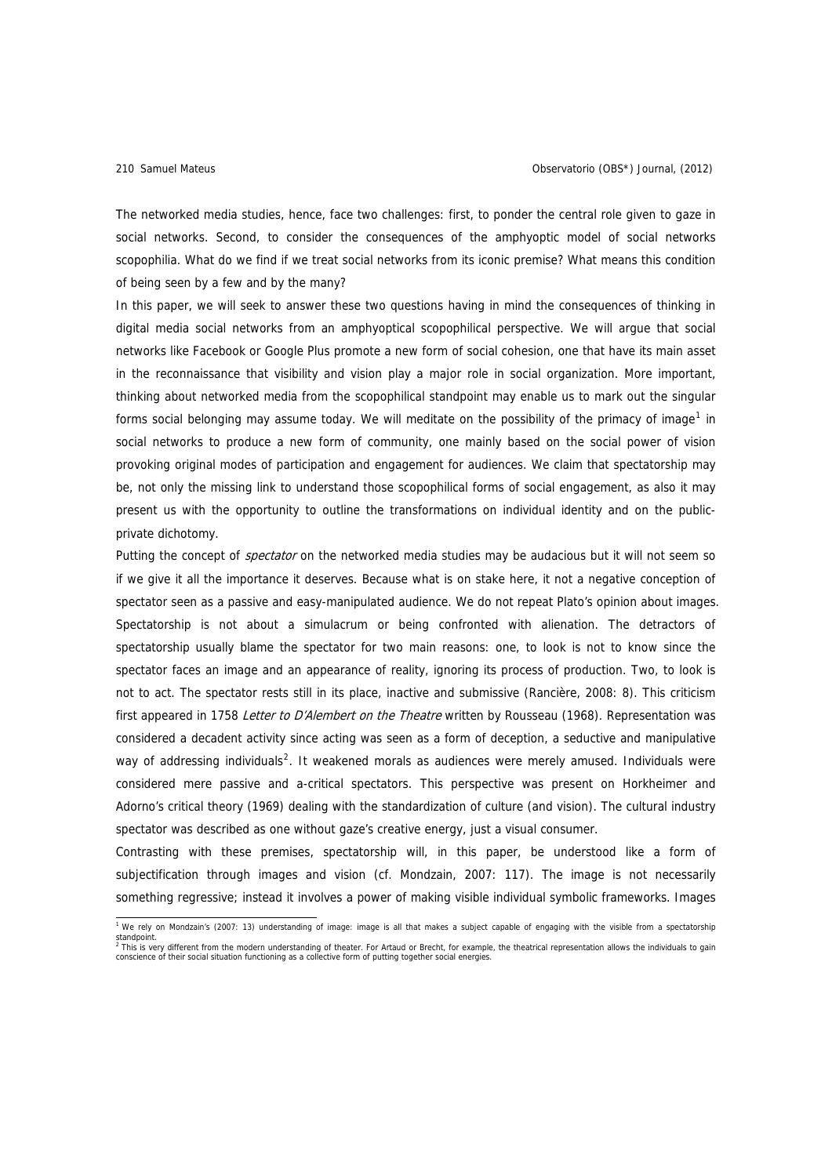The networked media studies, hence, face two challenges: first, to ponder the central role given to gaze in social networks. Second, to consider the consequences of the amphyoptic model of social networks scopophilia. What do we find if we treat social networks from its iconic premise? What means this condition of being seen by a few and by the many?

In this paper, we will seek to answer these two questions having in mind the consequences of thinking in digital media social networks from an amphyoptical scopophilical perspective. We will argue that social networks like Facebook or Google Plus promote a new form of social cohesion, one that have its main asset in the reconnaissance that visibility and vision play a major role in social organization. More important, thinking about networked media from the scopophilical standpoint may enable us to mark out the singular forms social belonging may assume today. We will meditate on the possibility of the primacy of image<sup>[1](#page-3-0)</sup> in social networks to produce a new form of community, one mainly based on the social power of vision provoking original modes of participation and engagement for audiences. We claim that spectatorship may be, not only the missing link to understand those scopophilical forms of social engagement, as also it may present us with the opportunity to outline the transformations on individual identity and on the publicprivate dichotomy.

Putting the concept of *spectator* on the networked media studies may be audacious but it will not seem so if we give it all the importance it deserves. Because what is on stake here, it not a negative conception of spectator seen as a passive and easy-manipulated audience. We do not repeat Plato's opinion about images. Spectatorship is not about a simulacrum or being confronted with alienation. The detractors of spectatorship usually blame the spectator for two main reasons: one, to look is not to know since the spectator faces an image and an appearance of reality, ignoring its process of production. Two, to look is not to act. The spectator rests still in its place, inactive and submissive (Rancière, 2008: 8). This criticism first appeared in 1758 Letter to D'Alembert on the Theatre written by Rousseau (1968). Representation was considered a decadent activity since acting was seen as a form of deception, a seductive and manipulative way of addressing individuals<sup>[2](#page-3-1)</sup>. It weakened morals as audiences were merely amused. Individuals were considered mere passive and a-critical spectators. This perspective was present on Horkheimer and Adorno's critical theory (1969) dealing with the standardization of culture (and vision). The cultural industry spectator was described as one without gaze's creative energy, just a visual consumer.

Contrasting with these premises, spectatorship will, in this paper, be understood like a form of subjectification through images and vision (cf. Mondzain, 2007: 117). The image is not necessarily something regressive; instead it involves a power of making visible individual symbolic frameworks. Images

<span id="page-3-1"></span><span id="page-3-0"></span><sup>&</sup>lt;sup>1</sup> We rely on Mondzain's (2007: 13) understanding of image: image is all that makes a subject capable of engaging with the visible from a spectatorship standpoint.<br><sup>2</sup> This is very different from the modern understanding of theater. For Artaud or Brecht, for example, the theatrical representation allows the individuals to gain conscience of their social situation functioning as a collective form of putting together social energies.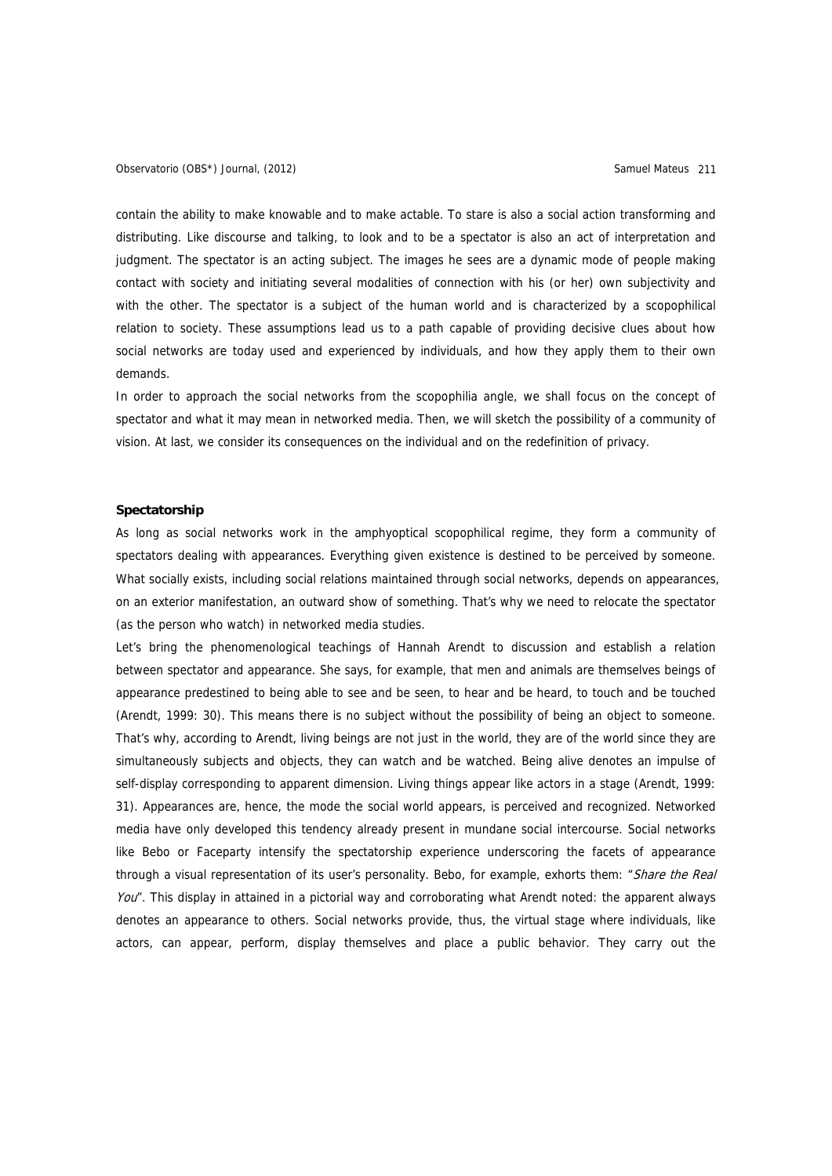contain the ability to make knowable and to make actable. To stare is also a social action transforming and distributing. Like discourse and talking, to look and to be a spectator is also an act of interpretation and judgment. The spectator is an acting subject. The images he sees are a dynamic mode of people making contact with society and initiating several modalities of connection with his (or her) own subjectivity and with the other. The spectator is a subject of the human world and is characterized by a scopophilical relation to society. These assumptions lead us to a path capable of providing decisive clues about how social networks are today used and experienced by individuals, and how they apply them to their own demands.

In order to approach the social networks from the scopophilia angle, we shall focus on the concept of spectator and what it may mean in networked media. Then, we will sketch the possibility of a community of vision. At last, we consider its consequences on the individual and on the redefinition of privacy.

## **Spectatorship**

As long as social networks work in the amphyoptical scopophilical regime, they form a community of spectators dealing with appearances. Everything given existence is destined to be perceived by someone. What socially exists, including social relations maintained through social networks, depends on appearances, on an exterior manifestation, an outward show of something. That's why we need to relocate the spectator (as the person who watch) in networked media studies.

Let's bring the phenomenological teachings of Hannah Arendt to discussion and establish a relation between spectator and appearance. She says, for example, that men and animals are themselves beings of appearance predestined to being able to see and be seen, to hear and be heard, to touch and be touched (Arendt, 1999: 30). This means there is no subject without the possibility of being an object to someone. That's why, according to Arendt, living beings are not just in the world, they are of the world since they are simultaneously subjects and objects, they can watch and be watched. Being alive denotes an impulse of self-display corresponding to apparent dimension. Living things appear like actors in a stage (Arendt, 1999: 31). Appearances are, hence, the mode the social world appears, is perceived and recognized. Networked media have only developed this tendency already present in mundane social intercourse. Social networks like Bebo or Faceparty intensify the spectatorship experience underscoring the facets of appearance through a visual representation of its user's personality. Bebo, for example, exhorts them: "Share the Real You". This display in attained in a pictorial way and corroborating what Arendt noted: the apparent always denotes an appearance to others. Social networks provide, thus, the virtual stage where individuals, like actors, can appear, perform, display themselves and place a public behavior. They carry out the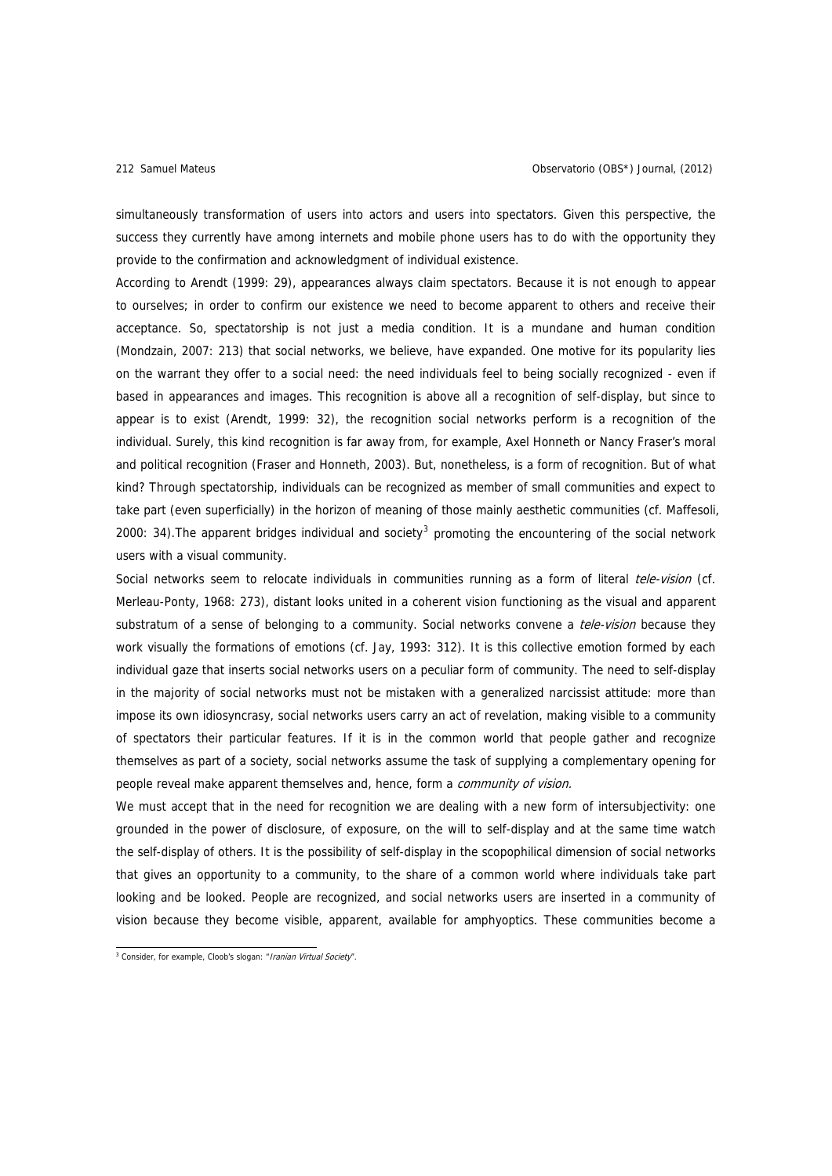simultaneously transformation of users into actors and users into spectators. Given this perspective, the success they currently have among internets and mobile phone users has to do with the opportunity they provide to the confirmation and acknowledgment of individual existence.

According to Arendt (1999: 29), appearances always claim spectators. Because it is not enough to appear to ourselves; in order to confirm our existence we need to become apparent to others and receive their acceptance. So, spectatorship is not just a media condition. It is a mundane and human condition (Mondzain, 2007: 213) that social networks, we believe, have expanded. One motive for its popularity lies on the warrant they offer to a social need: the need individuals feel to being socially recognized - even if based in appearances and images. This recognition is above all a recognition of self-display, but since to appear is to exist (Arendt, 1999: 32), the recognition social networks perform is a recognition of the individual. Surely, this kind recognition is far away from, for example, Axel Honneth or Nancy Fraser's moral and political recognition (Fraser and Honneth, 2003). But, nonetheless, is a form of recognition. But of what kind? Through spectatorship, individuals can be recognized as member of small communities and expect to take part (even superficially) in the horizon of meaning of those mainly aesthetic communities (cf. Maffesoli, 2000: [3](#page-5-0)4). The apparent bridges individual and society<sup>3</sup> promoting the encountering of the social network users with a visual community.

Social networks seem to relocate individuals in communities running as a form of literal tele-vision (cf. Merleau-Ponty, 1968: 273), distant looks united in a coherent vision functioning as the visual and apparent substratum of a sense of belonging to a community. Social networks convene a tele-vision because they work visually the formations of emotions (cf. Jay, 1993: 312). It is this collective emotion formed by each individual gaze that inserts social networks users on a peculiar form of community. The need to self-display in the majority of social networks must not be mistaken with a generalized narcissist attitude: more than impose its own idiosyncrasy, social networks users carry an act of revelation, making visible to a community of spectators their particular features. If it is in the common world that people gather and recognize themselves as part of a society, social networks assume the task of supplying a complementary opening for people reveal make apparent themselves and, hence, form a *community of vision.* 

We must accept that in the need for recognition we are dealing with a new form of intersubjectivity; one grounded in the power of disclosure, of exposure, on the will to self-display and at the same time watch the self-display of others. It is the possibility of self-display in the scopophilical dimension of social networks that gives an opportunity to a community, to the share of a common world where individuals take part looking and be looked. People are recognized, and social networks users are inserted in a community of vision because they become visible, apparent, available for amphyoptics. These communities become a

<span id="page-5-0"></span><sup>&</sup>lt;sup>3</sup> Consider, for example, Cloob's slogan: " Iranian Virtual Society".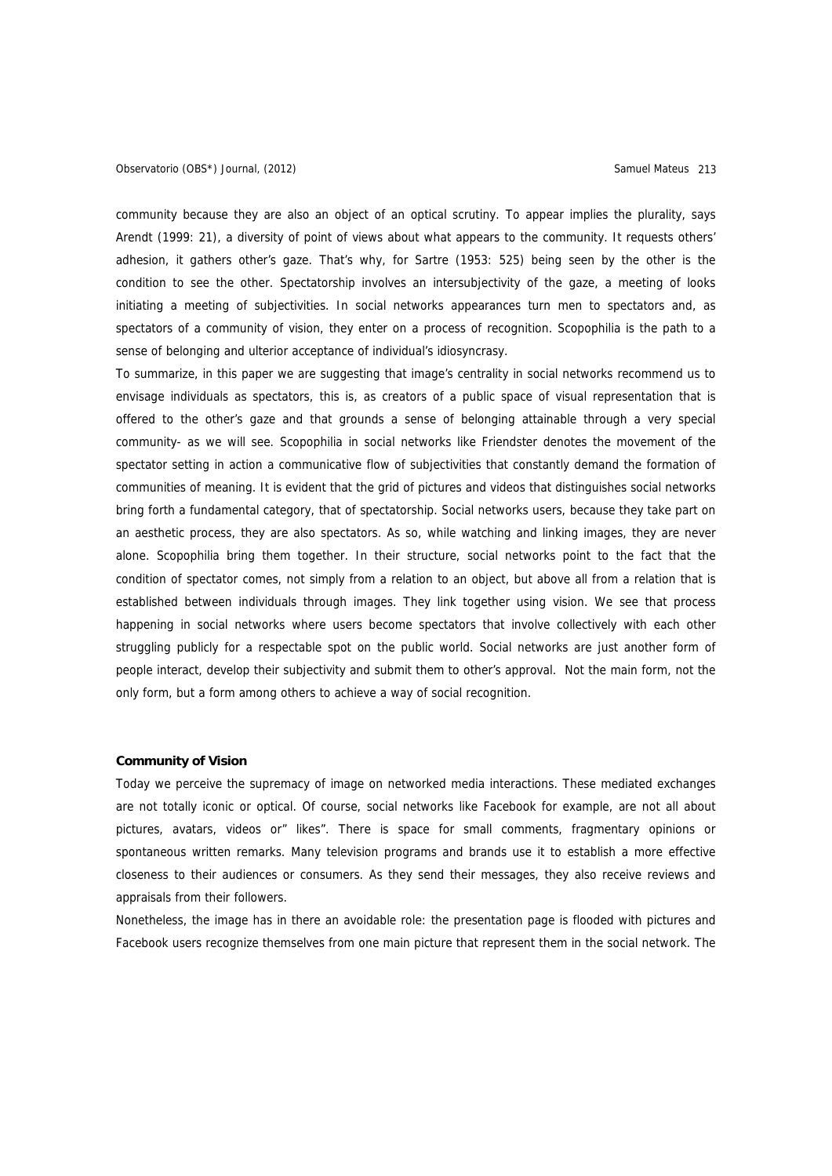### Observatorio (OBS\*) Journal, (2012) Charles Controller Samuel Mateus 213

community because they are also an object of an optical scrutiny. To appear implies the plurality, says Arendt (1999: 21), a diversity of point of views about what appears to the community. It requests others' adhesion, it gathers other's gaze. That's why, for Sartre (1953: 525) being seen by the other is the condition to see the other. Spectatorship involves an intersubjectivity of the gaze, a meeting of looks initiating a meeting of subjectivities. In social networks appearances turn men to spectators and, as spectators of a community of vision, they enter on a process of recognition. Scopophilia is the path to a sense of belonging and ulterior acceptance of individual's idiosyncrasy.

To summarize, in this paper we are suggesting that image's centrality in social networks recommend us to envisage individuals as spectators, this is, as creators of a public space of visual representation that is offered to the other's gaze and that grounds a sense of belonging attainable through a very special community- as we will see. Scopophilia in social networks like Friendster denotes the movement of the spectator setting in action a communicative flow of subjectivities that constantly demand the formation of communities of meaning. It is evident that the grid of pictures and videos that distinguishes social networks bring forth a fundamental category, that of spectatorship. Social networks users, because they take part on an aesthetic process, they are also spectators. As so, while watching and linking images, they are never alone. Scopophilia bring them together. In their structure, social networks point to the fact that the condition of spectator comes, not simply from a relation to an object, but above all from a relation that is established between individuals through images. They link together using vision. We see that process happening in social networks where users become spectators that involve collectively with each other struggling publicly for a respectable spot on the public world. Social networks are just another form of people interact, develop their subjectivity and submit them to other's approval. Not the main form, not the only form, but a form among others to achieve a way of social recognition.

### **Community of Vision**

Today we perceive the supremacy of image on networked media interactions. These mediated exchanges are not totally iconic or optical. Of course, social networks like Facebook for example, are not all about pictures, avatars, videos or" likes". There is space for small comments, fragmentary opinions or spontaneous written remarks. Many television programs and brands use it to establish a more effective closeness to their audiences or consumers. As they send their messages, they also receive reviews and appraisals from their followers.

Nonetheless, the image has in there an avoidable role: the presentation page is flooded with pictures and Facebook users recognize themselves from one main picture that represent them in the social network. The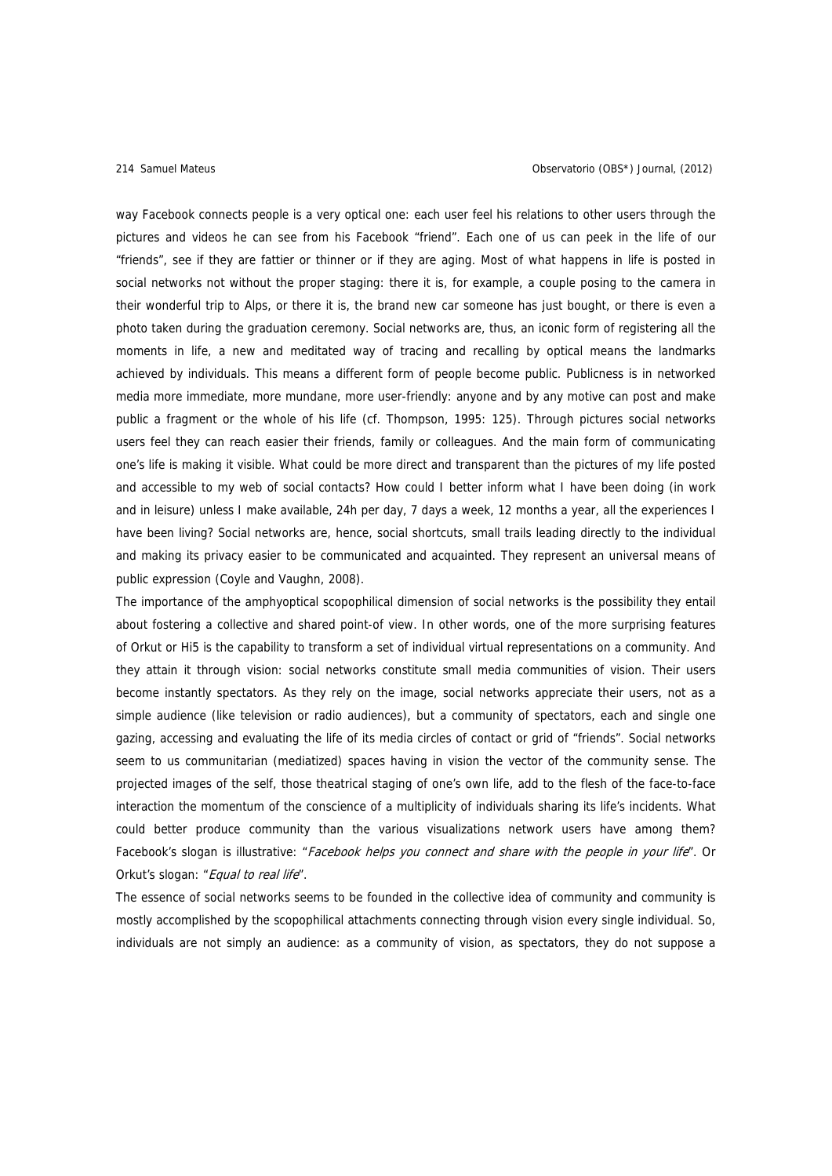way Facebook connects people is a very optical one: each user feel his relations to other users through the pictures and videos he can see from his Facebook "friend". Each one of us can peek in the life of our "friends", see if they are fattier or thinner or if they are aging. Most of what happens in life is posted in social networks not without the proper staging: there it is, for example, a couple posing to the camera in their wonderful trip to Alps, or there it is, the brand new car someone has just bought, or there is even a photo taken during the graduation ceremony. Social networks are, thus, an iconic form of registering all the moments in life, a new and meditated way of tracing and recalling by optical means the landmarks achieved by individuals. This means a different form of people become public. Publicness is in networked media more immediate, more mundane, more user-friendly: anyone and by any motive can post and make public a fragment or the whole of his life (cf. Thompson, 1995: 125). Through pictures social networks users feel they can reach easier their friends, family or colleagues. And the main form of communicating one's life is making it visible. What could be more direct and transparent than the pictures of my life posted and accessible to my web of social contacts? How could I better inform what I have been doing (in work and in leisure) unless I make available, 24h per day, 7 days a week, 12 months a year, all the experiences I have been living? Social networks are, hence, social shortcuts, small trails leading directly to the individual and making its privacy easier to be communicated and acquainted. They represent an universal means of public expression (Coyle and Vaughn, 2008).

The importance of the amphyoptical scopophilical dimension of social networks is the possibility they entail about fostering a collective and shared point-of view. In other words, one of the more surprising features of Orkut or Hi5 is the capability to transform a set of individual virtual representations on a community. And they attain it through vision: social networks constitute small media communities of vision. Their users become instantly spectators. As they rely on the image, social networks appreciate their users, not as a simple audience (like television or radio audiences), but a community of spectators, each and single one gazing, accessing and evaluating the life of its media circles of contact or grid of "friends". Social networks seem to us communitarian (mediatized) spaces having in vision the vector of the community sense. The projected images of the self, those theatrical staging of one's own life, add to the flesh of the face-to-face interaction the momentum of the conscience of a multiplicity of individuals sharing its life's incidents. What could better produce community than the various visualizations network users have among them? Facebook's slogan is illustrative: "Facebook helps you connect and share with the people in your life". Or Orkut's slogan: "Equal to real life".

The essence of social networks seems to be founded in the collective idea of community and community is mostly accomplished by the scopophilical attachments connecting through vision every single individual. So, individuals are not simply an audience: as a community of vision, as spectators, they do not suppose a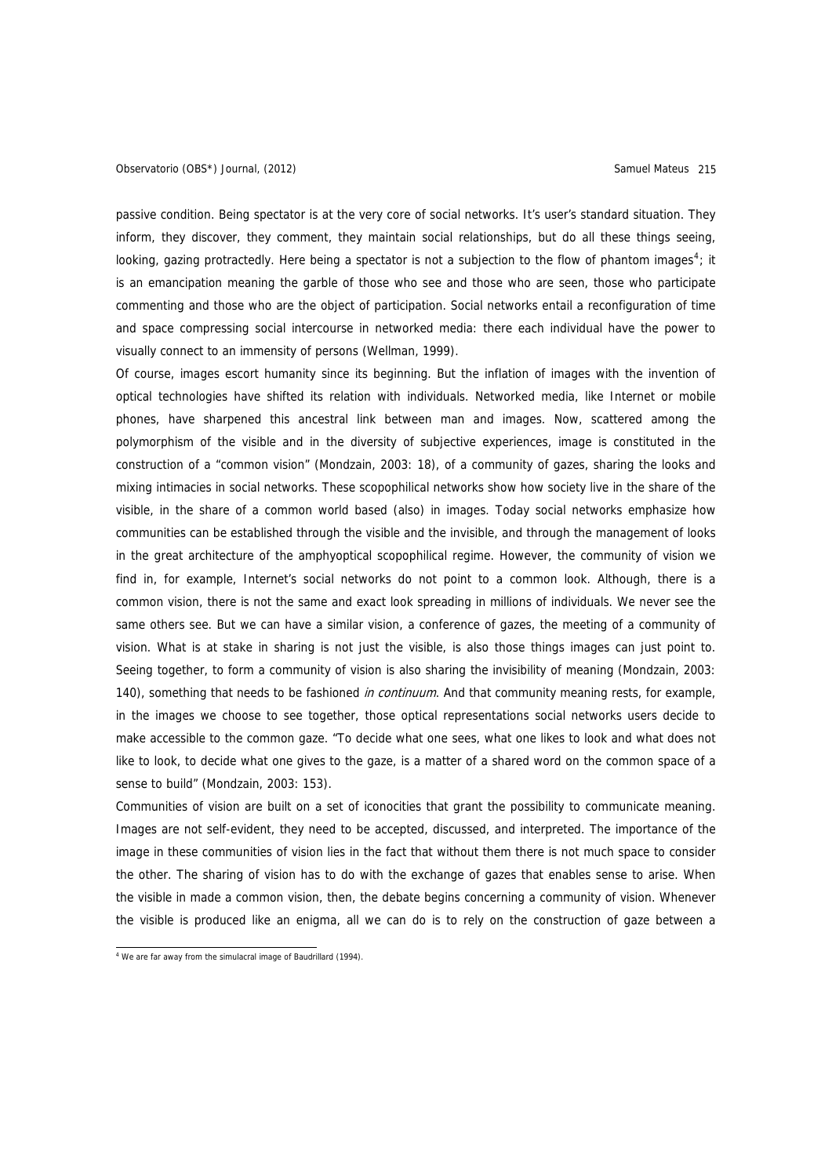passive condition. Being spectator is at the very core of social networks. It's user's standard situation. They inform, they discover, they comment, they maintain social relationships, but do all these things seeing, looking, gazing protractedly. Here being a spectator is not a subjection to the flow of phantom images<sup>[4](#page-8-0)</sup>; it is an emancipation meaning the garble of those who see and those who are seen, those who participate commenting and those who are the object of participation. Social networks entail a reconfiguration of time and space compressing social intercourse in networked media: there each individual have the power to visually connect to an immensity of persons (Wellman, 1999).

Of course, images escort humanity since its beginning. But the inflation of images with the invention of optical technologies have shifted its relation with individuals. Networked media, like Internet or mobile phones, have sharpened this ancestral link between man and images. Now, scattered among the polymorphism of the visible and in the diversity of subjective experiences, image is constituted in the construction of a "common vision" (Mondzain, 2003: 18), of a community of gazes, sharing the looks and mixing intimacies in social networks. These scopophilical networks show how society live in the share of the visible, in the share of a common world based (also) in images. Today social networks emphasize how communities can be established through the visible and the invisible, and through the management of looks in the great architecture of the amphyoptical scopophilical regime. However, the community of vision we find in, for example, Internet's social networks do not point to a common look. Although, there is a common vision, there is not the same and exact look spreading in millions of individuals. We never see the same others see. But we can have a similar vision, a conference of gazes, the meeting of a community of vision. What is at stake in sharing is not just the visible, is also those things images can just point to. Seeing together, to form a community of vision is also sharing the invisibility of meaning (Mondzain, 2003: 140), something that needs to be fashioned in continuum. And that community meaning rests, for example, in the images we choose to see together, those optical representations social networks users decide to make accessible to the common gaze. "To decide what one sees, what one likes to look and what does not like to look, to decide what one gives to the gaze, is a matter of a shared word on the common space of a sense to build" (Mondzain, 2003: 153).

Communities of vision are built on a set of iconocities that grant the possibility to communicate meaning. Images are not self-evident, they need to be accepted, discussed, and interpreted. The importance of the image in these communities of vision lies in the fact that without them there is not much space to consider the other. The sharing of vision has to do with the exchange of gazes that enables sense to arise. When the visible in made a common vision, then, the debate begins concerning a community of vision. Whenever the visible is produced like an enigma, all we can do is to rely on the construction of gaze between a

<span id="page-8-0"></span> 4 We are far away from the simulacral image of Baudrillard (1994).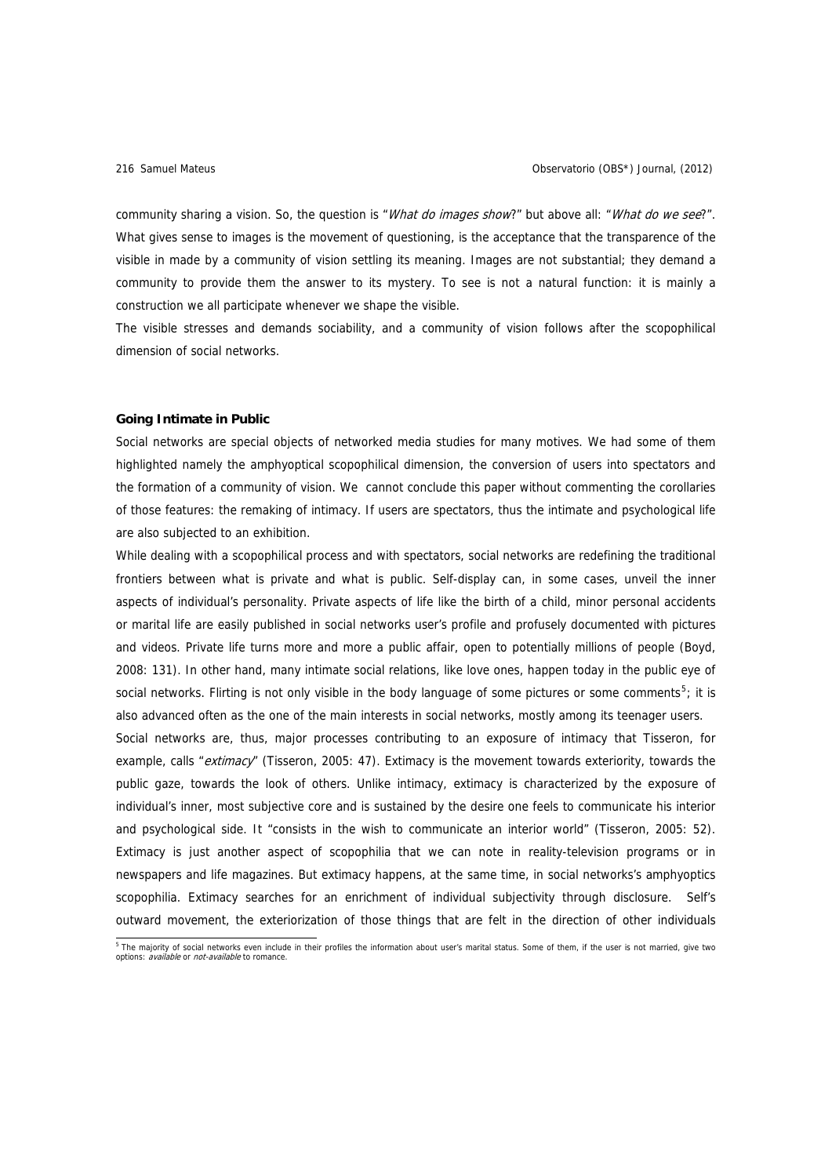community sharing a vision. So, the question is "What do images show?" but above all: "What do we see?". What gives sense to images is the movement of questioning, is the acceptance that the transparence of the visible in made by a community of vision settling its meaning. Images are not substantial; they demand a community to provide them the answer to its mystery. To see is not a natural function: it is mainly a construction we all participate whenever we shape the visible.

The visible stresses and demands sociability, and a community of vision follows after the scopophilical dimension of social networks.

### **Going Intimate in Public**

Social networks are special objects of networked media studies for many motives. We had some of them highlighted namely the amphyoptical scopophilical dimension, the conversion of users into spectators and the formation of a community of vision. We cannot conclude this paper without commenting the corollaries of those features: the remaking of intimacy. If users are spectators, thus the intimate and psychological life are also subjected to an exhibition.

While dealing with a scopophilical process and with spectators, social networks are redefining the traditional frontiers between what is private and what is public. Self-display can, in some cases, unveil the inner aspects of individual's personality. Private aspects of life like the birth of a child, minor personal accidents or marital life are easily published in social networks user's profile and profusely documented with pictures and videos. Private life turns more and more a public affair, open to potentially millions of people (Boyd, 2008: 131). In other hand, many intimate social relations, like love ones, happen today in the public eye of social networks. Flirting is not only visible in the body language of some pictures or some comments<sup>[5](#page-9-0)</sup>; it is also advanced often as the one of the main interests in social networks, mostly among its teenager users.

Social networks are, thus, major processes contributing to an exposure of intimacy that Tisseron, for example, calls "extimacy" (Tisseron, 2005: 47). Extimacy is the movement towards exteriority, towards the public gaze, towards the look of others. Unlike intimacy, extimacy is characterized by the exposure of individual's inner, most subjective core and is sustained by the desire one feels to communicate his interior and psychological side. It "consists in the wish to communicate an interior world" (Tisseron, 2005: 52). Extimacy is just another aspect of scopophilia that we can note in reality-television programs or in newspapers and life magazines. But extimacy happens, at the same time, in social networks's amphyoptics scopophilia. Extimacy searches for an enrichment of individual subjectivity through disclosure. Self's outward movement, the exteriorization of those things that are felt in the direction of other individuals

<span id="page-9-0"></span> 5 The majority of social networks even include in their profiles the information about user's marital status. Some of them, if the user is not married, give two options: *available* or *not-available* to romance.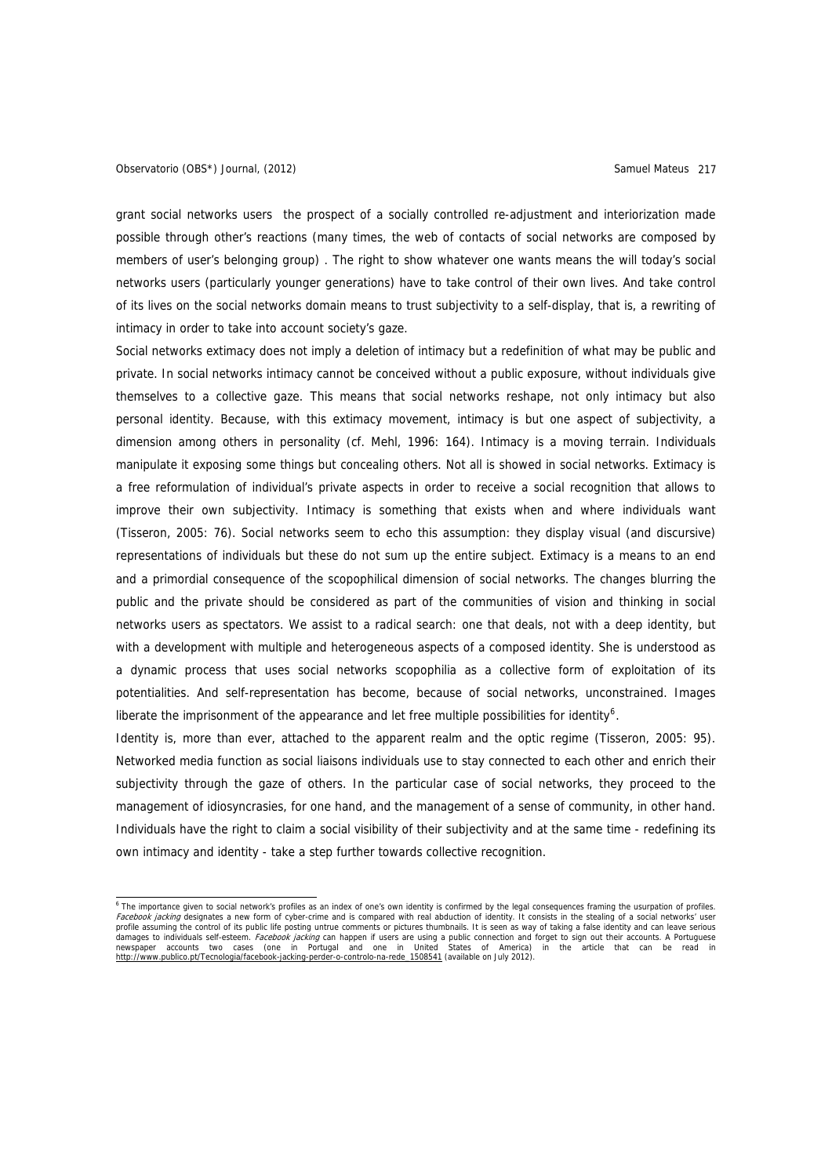### Observatorio (OBS\*) Journal, (2012) Charles Controller Samuel Mateus 217

grant social networks users the prospect of a socially controlled re-adjustment and interiorization made possible through other's reactions (many times, the web of contacts of social networks are composed by members of user's belonging group) . The right to show whatever one wants means the will today's social networks users (particularly younger generations) have to take control of their own lives. And take control of its lives on the social networks domain means to trust subjectivity to a self-display, that is, a rewriting of intimacy in order to take into account society's gaze.

Social networks extimacy does not imply a deletion of intimacy but a redefinition of what may be public and private. In social networks intimacy cannot be conceived without a public exposure, without individuals give themselves to a collective gaze. This means that social networks reshape, not only intimacy but also personal identity. Because, with this extimacy movement, intimacy is but one aspect of subjectivity, a dimension among others in personality (cf. Mehl, 1996: 164). Intimacy is a moving terrain. Individuals manipulate it exposing some things but concealing others. Not all is showed in social networks. Extimacy is a free reformulation of individual's private aspects in order to receive a social recognition that allows to improve their own subjectivity. Intimacy is something that exists when and where individuals want (Tisseron, 2005: 76). Social networks seem to echo this assumption: they display visual (and discursive) representations of individuals but these do not sum up the entire subject. Extimacy is a means to an end and a primordial consequence of the scopophilical dimension of social networks. The changes blurring the public and the private should be considered as part of the communities of vision and thinking in social networks users as spectators. We assist to a radical search: one that deals, not with a deep identity, but with a development with multiple and heterogeneous aspects of a composed identity. She is understood as a dynamic process that uses social networks scopophilia as a collective form of exploitation of its potentialities. And self-representation has become, because of social networks, unconstrained. Images liberate the imprisonment of the appearance and let free multiple possibilities for identity<sup>[6](#page-10-0)</sup>.

Identity is, more than ever, attached to the apparent realm and the optic regime (Tisseron, 2005: 95). Networked media function as social liaisons individuals use to stay connected to each other and enrich their subjectivity through the gaze of others. In the particular case of social networks, they proceed to the management of idiosyncrasies, for one hand, and the management of a sense of community, in other hand. Individuals have the right to claim a social visibility of their subjectivity and at the same time - redefining its own intimacy and identity - take a step further towards collective recognition.

<span id="page-10-0"></span> 6 The importance given to social network's profiles as an index of one's own identity is confirmed by the legal consequences framing the usurpation of profiles. Facebook jacking designates a new form of cyber-crime and is compared with real abduction of identity. It consists in the stealing of a social networks' user profile assuming the control of its public life posting untrue comments or pictures thumbnails. It is seen as way of taking a false identity and can leave serious damages to individuals self-esteem. *Facebook jacking* can happen if users are using a public connection and forget to sign out their accounts. A Portuguese<br>newspaper accounts two cases (one in Portugal and one in United S [http://www.publico.pt/Tecnologia/facebook-jacking-perder-o-controlo-na-rede\\_1508541](http://www.publico.pt/Tecnologia/facebook-jacking-perder-o-controlo-na-rede_1508541) (available on July 2012).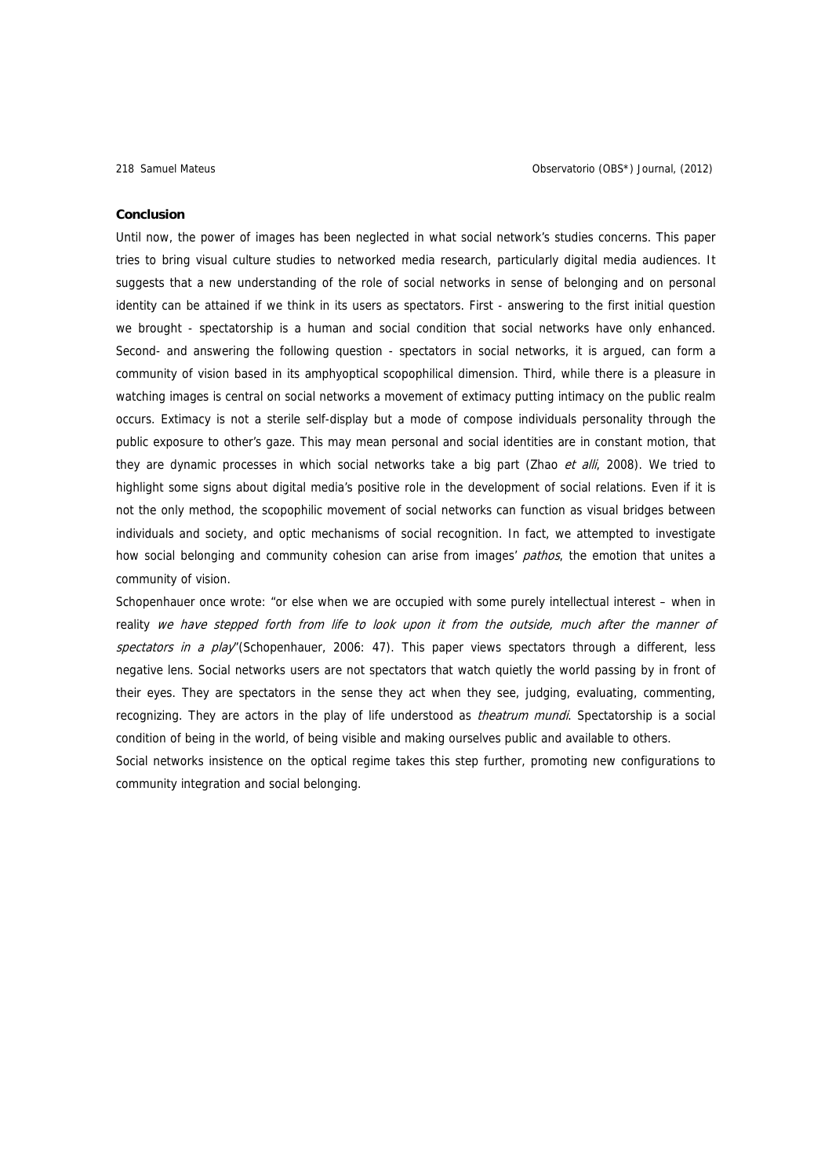### **Conclusion**

Until now, the power of images has been neglected in what social network's studies concerns. This paper tries to bring visual culture studies to networked media research, particularly digital media audiences. It suggests that a new understanding of the role of social networks in sense of belonging and on personal identity can be attained if we think in its users as spectators. First - answering to the first initial question we brought - spectatorship is a human and social condition that social networks have only enhanced. Second- and answering the following question - spectators in social networks, it is argued, can form a community of vision based in its amphyoptical scopophilical dimension. Third, while there is a pleasure in watching images is central on social networks a movement of extimacy putting intimacy on the public realm occurs. Extimacy is not a sterile self-display but a mode of compose individuals personality through the public exposure to other's gaze. This may mean personal and social identities are in constant motion, that they are dynamic processes in which social networks take a big part (Zhao et alli, 2008). We tried to highlight some signs about digital media's positive role in the development of social relations. Even if it is not the only method, the scopophilic movement of social networks can function as visual bridges between individuals and society, and optic mechanisms of social recognition. In fact, we attempted to investigate how social belonging and community cohesion can arise from images' pathos, the emotion that unites a community of vision.

Schopenhauer once wrote: "or else when we are occupied with some purely intellectual interest – when in reality we have stepped forth from life to look upon it from the outside, much after the manner of spectators in a play"(Schopenhauer, 2006: 47). This paper views spectators through a different, less negative lens. Social networks users are not spectators that watch quietly the world passing by in front of their eyes. They are spectators in the sense they act when they see, judging, evaluating, commenting, recognizing. They are actors in the play of life understood as *theatrum mundi*. Spectatorship is a social condition of being in the world, of being visible and making ourselves public and available to others.

Social networks insistence on the optical regime takes this step further, promoting new configurations to community integration and social belonging.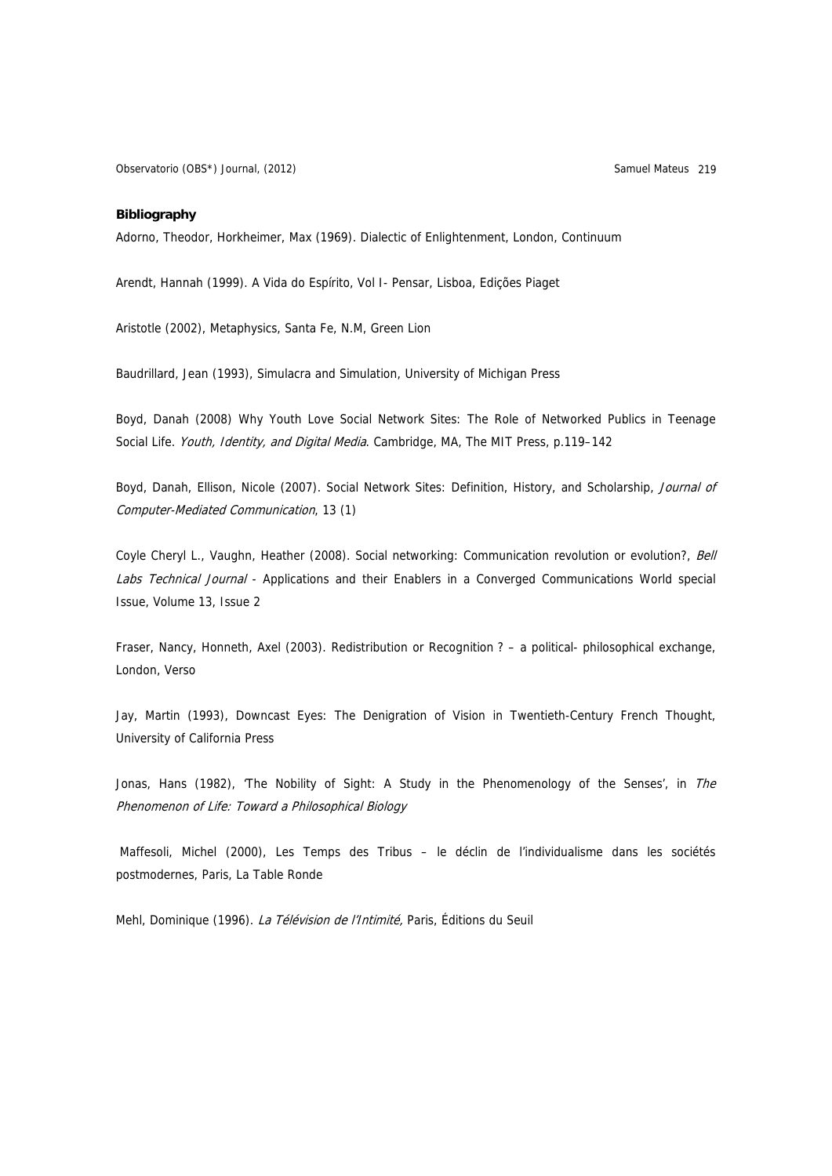Observatorio (OBS\*) Journal, (2012) <br>
Samuel Mateus 219

### **Bibliography**

Adorno, Theodor, Horkheimer, Max (1969). Dialectic of Enlightenment, London, Continuum

Arendt, Hannah (1999). A Vida do Espírito, Vol I- Pensar, Lisboa, Edições Piaget

Aristotle (2002), Metaphysics, Santa Fe, N.M, Green Lion

Baudrillard, Jean (1993), Simulacra and Simulation, University of Michigan Press

Boyd, Danah (2008) Why Youth Love Social Network Sites: The Role of Networked Publics in Teenage Social Life. Youth, Identity, and Digital Media. Cambridge, MA, The MIT Press, p.119-142

Boyd, Danah, Ellison, Nicole (2007). Social Network Sites: Definition, History, and Scholarship, Journal of Computer-Mediated Communication, 13 (1)

Coyle Cheryl L., Vaughn, Heather (2008). Social networking: Communication revolution or evolution?, Bell Labs Technical Journal - Applications and their Enablers in a Converged Communications World special Issue, Volume 13, Issue 2

Fraser, Nancy, Honneth, Axel (2003). Redistribution or Recognition ? – a political- philosophical exchange, London, Verso

Jay, Martin (1993), Downcast Eyes: The Denigration of Vision in Twentieth-Century French Thought, University of California Press

Jonas, Hans (1982), 'The Nobility of Sight: A Study in the Phenomenology of the Senses', in The Phenomenon of Life: Toward a Philosophical Biology

 Maffesoli, Michel (2000), Les Temps des Tribus – le déclin de l'individualisme dans les sociétés postmodernes, Paris, La Table Ronde

Mehl, Dominique (1996). La Télévision de l'Intimité, Paris, Éditions du Seuil